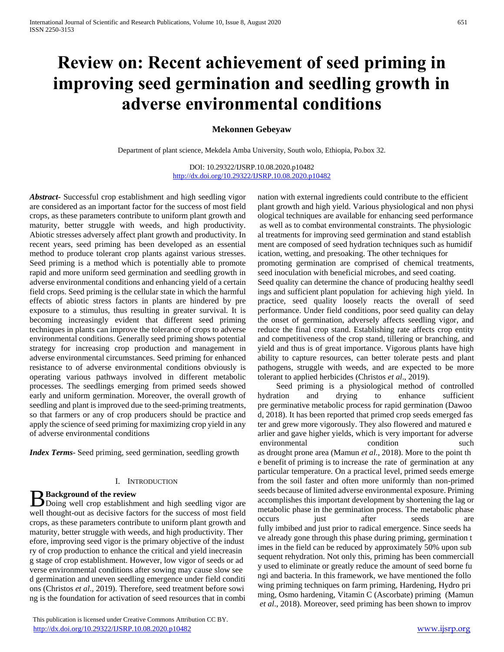# **Review on: Recent achievement of seed priming in improving seed germination and seedling growth in adverse environmental conditions**

#### **Mekonnen Gebeyaw**

Department of plant science, Mekdela Amba University, South wolo, Ethiopia, Po.box 32.

DOI: 10.29322/IJSRP.10.08.2020.p10482 <http://dx.doi.org/10.29322/IJSRP.10.08.2020.p10482>

*Abstract***-** Successful crop establishment and high seedling vigor are considered as an important factor for the success of most field crops, as these parameters contribute to uniform plant growth and maturity, better struggle with weeds, and high productivity. Abiotic stresses adversely affect plant growth and productivity. In recent years, seed priming has been developed as an essential method to produce tolerant crop plants against various stresses. Seed priming is a method which is potentially able to promote rapid and more uniform seed germination and seedling growth in adverse environmental conditions and enhancing yield of a certain field crops. Seed priming is the cellular state in which the harmful effects of abiotic stress factors in plants are hindered by pre exposure to a stimulus, thus resulting in greater survival. It is becoming increasingly evident that different seed priming techniques in plants can improve the tolerance of crops to adverse environmental conditions. Generally seed priming shows potential strategy for increasing crop production and management in adverse environmental circumstances. Seed priming for enhanced resistance to of adverse environmental conditions obviously is operating various pathways involved in different metabolic processes. The seedlings emerging from primed seeds showed early and uniform germination. Moreover, the overall growth of seedling and plant is improved due to the seed-priming treatments, so that farmers or any of crop producers should be practice and apply the science of seed priming for maximizing crop yield in any of adverse environmental conditions

*Index Terms*- Seed priming, seed germination, seedling growth

#### I. INTRODUCTION

#### **Background of the review**

**B** Background of the review<br>
Doing well crop establishment and high seedling vigor are well thought-out as decisive factors for the success of most field crops, as these parameters contribute to uniform plant growth and maturity, better struggle with weeds, and high productivity. Ther efore, improving seed vigor is the primary objective of the indust ry of crop production to enhance the critical and yield inecreasin g stage of crop establishment. However, low vigor of seeds or ad verse environmental conditions after sowing may cause slow see d germination and uneven seedling emergence under field conditi ons (Christos *et al*., 2019). Therefore, seed treatment before sowi ng is the foundation for activation of seed resources that in combi

nation with external ingredients could contribute to the efficient plant growth and high yield. Various physiological and non physi ological techniques are available for enhancing seed performance as well as to combat environmental constraints. The physiologic al treatments for improving seed germination and stand establish ment are composed of seed hydration techniques such as humidif ication, wetting, and presoaking. The other techniques for promoting germination are comprised of chemical treatments, seed inoculation with beneficial microbes, and seed coating. Seed quality can determine the chance of producing healthy seedl ings and sufficient plant population for achieving high yield. In practice, seed quality loosely reacts the overall of seed performance. Under field conditions, poor seed quality can delay the onset of germination, adversely affects seedling vigor, and reduce the final crop stand. Establishing rate affects crop entity and competitiveness of the crop stand, tillering or branching, and yield and thus is of great importance. Vigorous plants have high ability to capture resources, can better tolerate pests and plant

pathogens, struggle with weeds, and are expected to be more

tolerant to applied herbicides (Christos *et al*., 2019). Seed priming is a physiological method of controlled hydration and drying to enhance sufficient pre germinative metabolic process for rapid germination (Dawoo d, 2018). It has been reported that primed crop seeds emerged fas ter and grew more vigorously. They also flowered and matured e arlier and gave higher yields, which is very important for adverse environmental condition such as drought prone area (Mamun *et al*., 2018). More to the point th e benefit of priming is to increase the rate of germination at any particular temperature. On a practical level, primed seeds emerge from the soil faster and often more uniformly than non-primed seeds because of limited adverse environmental exposure. Priming accomplishes this important development by shortening the lag or metabolic phase in the germination process. The metabolic phase occurs just after seeds are fully imbibed and just prior to radical emergence. Since seeds ha ve already gone through this phase during priming, germination t imes in the field can be reduced by approximately 50% upon sub sequent rehydration. Not only this, priming has been commerciall y used to eliminate or greatly reduce the amount of seed borne fu ngi and bacteria. In this framework, we have mentioned the follo wing priming techniques on farm priming, Hardening, Hydro pri ming, Osmo hardening, Vitamin C (Ascorbate) priming (Mamun *et al*., 2018). Moreover, seed priming has been shown to improv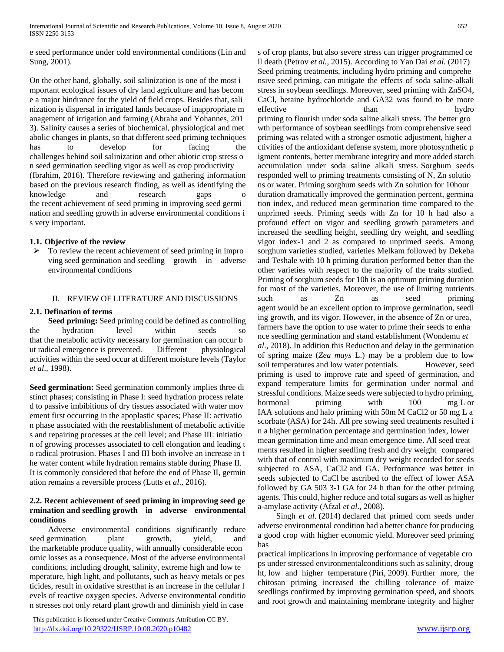e seed performance under cold environmental conditions (Lin and Sung, 2001).

On the other hand, globally, soil salinization is one of the most i mportant ecological issues of dry land agriculture and has becom e a major hindrance for the yield of field crops. Besides that, sali nization is dispersal in irrigated lands because of inappropriate m anagement of irrigation and farming (Abraha and Yohannes, 201 3). Salinity causes a series of biochemical, physiological and met abolic changes in plants, so that different seed priming techniques has to develop for facing the challenges behind soil salinization and other abiotic crop stress o n seed germination seedling vigor as well as crop productivity (Ibrahim, 2016). Therefore reviewing and gathering information based on the previous research finding, as well as identifying the knowledge and research gaps the recent achievement of seed priming in improving seed germi nation and seedling growth in adverse environmental conditions i s very important.

## **1.1. Objective of the review**

 $\triangleright$  To review the recent achievement of seed priming in impro ving seed germination and seedling growth in adverse environmental conditions

## II. REVIEW OF LITERATURE AND DISCUSSIONS

# **2.1. Defination of terms**

 **Seed priming:** Seed priming could be defined as controlling the hydration level within seeds so that the metabolic activity necessary for germination can occur b ut radical emergence is prevented. Different physiological activities within the seed occur at different moisture levels (Taylor *et al*., 1998).

**Seed germination:** Seed germination commonly implies three di stinct phases; consisting in Phase I: seed hydration process relate d to passive imbibitions of dry tissues associated with water mov ement first occurring in the apoplastic spaces; Phase II: activatio n phase associated with the reestablishment of metabolic activitie s and repairing processes at the cell level; and Phase III: initiatio n of growing processes associated to cell elongation and leading t o radical protrusion. Phases I and III both involve an increase in t he water content while hydration remains stable during Phase II. It is commonly considered that before the end of Phase II, germin ation remains a reversible process (Lutts *et al*., 2016).

## **2.2. Recent achievement of seed priming in improving seed ge rmination and seedling growth in adverse environmental conditions**

 Adverse environmental conditions significantly reduce seed germination plant growth, yield, and the marketable produce quality, with annually considerable econ omic losses as a consequence. Most of the adverse environmental conditions, including drought, salinity, extreme high and low te mperature, high light, and pollutants, such as heavy metals or pes ticides, result in oxidative strestthat is an increase in the cellular l evels of reactive oxygen species. Adverse environmental conditio n stresses not only retard plant growth and diminish yield in case

 This publication is licensed under Creative Commons Attribution CC BY. <http://dx.doi.org/10.29322/IJSRP.10.08.2020.p10482> [www.ijsrp.org](http://ijsrp.org/)

s of crop plants, but also severe stress can trigger programmed ce ll death (Petrov *et al.,* 2015). According to Yan Dai *et al.* (2017) Seed priming treatments, including hydro priming and comprehe nsive seed priming, can mitigate the effects of soda saline-alkali stress in soybean seedlings. Moreover, seed priming with ZnSO4, CaCl, betaine hydrochloride and GA32 was found to be more effective than hydro priming to flourish under soda saline alkali stress. The better gro wth performance of soybean seedlings from comprehensive seed priming was related with a stronger osmotic adjustment, higher a ctivities of the antioxidant defense system, more photosynthetic p igment contents, better membrane integrity and more added starch accumulation under soda saline alkali stress. Sorghum seeds responded well to priming treatments consisting of N, Zn solutio ns or water. Priming sorghum seeds with Zn solution for 10hour duration dramatically improved the germination percent, germina tion index, and reduced mean germination time compared to the unprimed seeds. Priming seeds with Zn for 10 h had also a profound effect on vigor and seedling growth parameters and increased the seedling height, seedling dry weight, and seedling vigor index-1 and 2 as compared to unprimed seeds. Among sorghum varieties studied, varieties Melkam followed by Dekeba and Teshale with 10 h priming duration performed better than the other varieties with respect to the majority of the traits studied. Priming of sorghum seeds for 10h is an optimum priming duration for most of the varieties. Moreover, the use of limiting nutrients such as Zn as seed priming agent would be an excellent option to improve germination, seedl ing growth, and its vigor. However, in the absence of Zn or urea, farmers have the option to use water to prime their seeds to enha nce seedling germination and stand establishment (Wondemu *et al*., 2018). In addition this Reduction and delay in the germination of spring maize (*Zea mays* L.) may be a problem due to low soil temperatures and low water potentials. However, seed priming is used to improve rate and speed of germination, and expand temperature limits for germination under normal and stressful conditions. Maize seeds were subjected to hydro priming, hormonal priming with 100 mg L or IAA solutions and halo priming with 50m M CaCl2 or 50 mg L a scorbate (ASA) for 24h. All pre sowing seed treatments resulted i n a higher germination percentage and germination index, lower mean germination time and mean emergence time. All seed treat ments resulted in higher seedling fresh and dry weight compared with that of control with maximum dry weight recorded for seeds subjected to ASA, CaCl2 and GA. Performance was better in seeds subjected to CaCl be ascribed to the effect of lower ASA followed by GA 503 3-1 GA for 24 h than for the other priming agents. This could, higher reduce and total sugars as well as higher a-amylase activity (Afzal *et al*., 2008).

 Singh *et al*. (2014) declared that primed corn seeds under adverse environmental condition had a better chance for producing a good crop with higher economic yield. Moreover seed priming has

practical implications in improving performance of vegetable cro ps under stressed environmentalconditions such as salinity, droug ht, low and higher temperature (Piri, 2009). Further more, the chitosan priming increased the chilling tolerance of maize seedlings confirmed by improving germination speed, and shoots and root growth and maintaining membrane integrity and higher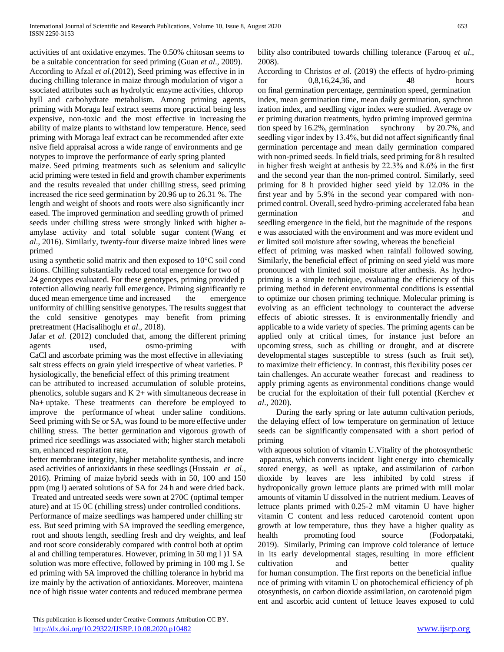activities of ant oxidative enzymes. The 0.50% chitosan seems to be a suitable concentration for seed priming (Guan *et al*., 2009). According to Afzal *et al.*(2012), Seed priming was effective in in ducing chilling tolerance in maize through modulation of vigor a ssociated attributes such as hydrolytic enzyme activities, chlorop hyll and carbohydrate metabolism. Among priming agents, priming with Moraga leaf extract seems more practical being less expensive, non-toxic and the most effective in increasing the ability of maize plants to withstand low temperature. Hence, seed priming with Moraga leaf extract can be recommended after exte nsive field appraisal across a wide range of environments and ge notypes to improve the performance of early spring planted maize. Seed priming treatments such as selenium and salicylic acid priming were tested in field and growth chamber experiments and the results revealed that under chilling stress, seed priming increased the rice seed germination by 20.96 up to 26.31 %. The length and weight of shoots and roots were also significantly incr eased. The improved germination and seedling growth of primed seeds under chilling stress were strongly linked with higher aamylase activity and total soluble sugar content (Wang *et al*., 2016). Similarly, twenty-four diverse maize inbred lines were primed

using a synthetic solid matrix and then exposed to 10°C soil cond itions. Chilling substantially reduced total emergence for two of

24 genotypes evaluated. For these genotypes, priming provided p rotection allowing nearly full emergence. Priming significantly re duced mean emergence time and increased the emergence uniformity of chilling sensitive genotypes. The results suggest that the cold sensitive genotypes may benefit from priming pretreatment (Hacisalihoglu *et al*., 2018).

Jafar *et al.* (2012) concluded that, among the different priming agents used, osmo-priming with CaCl and ascorbate priming was the most effective in alleviating salt stress effects on grain yield irrespective of wheat varieties. P hysiologically, the beneficial effect of this priming treatment

can be attributed to increased accumulation of soluble proteins, phenolics, soluble sugars and K 2+ with simultaneous decrease in Na+ uptake. These treatments can therefore be employed to improve the performance of wheat under saline conditions. Seed priming with Se or SA, was found to be more effective under chilling stress. The better germination and vigorous growth of primed rice seedlings was associated with; higher starch metaboli sm, enhanced respiration rate,

better membrane integrity, higher metabolite synthesis, and incre ased activities of antioxidants in these seedlings (Hussain *et al*., 2016). Priming of maize hybrid seeds with in 50, 100 and 150 ppm (mg l) aerated solutions of SA for 24 h and were dried back. Treated and untreated seeds were sown at 270C (optimal temper ature) and at 15 0C (chilling stress) under controlled conditions. Performance of maize seedlings was hampered under chilling str ess. But seed priming with SA improved the seedling emergence, root and shoots length, seedling fresh and dry weights, and leaf and root score considerably compared with control both at optim al and chilling temperatures. However, priming in 50 mg l )1 SA solution was more effective, followed by priming in 100 mg l. Se ed priming with SA improved the chilling tolerance in hybrid ma ize mainly by the activation of antioxidants. Moreover, maintena nce of high tissue water contents and reduced membrane permea

bility also contributed towards chilling tolerance (Farooq *et al*., 2008).

According to Christos *et al*. (2019) the effects of hydro-priming for 0,8,16,24,36, and 48 hours on final germination percentage, germination speed, germination index, mean germination time, mean daily germination, synchron ization index, and seedling vigor index were studied. Average ov er priming duration treatments, hydro priming improved germina tion speed by 16.2%, germination synchrony by 20.7%, and seedling vigor index by 13.4%, but did not affect significantly final germination percentage and mean daily germination compared with non-primed seeds. In field trials, seed priming for 8 h resulted in higher fresh weight at anthesis by 22.3% and 8.6% in the first and the second year than the non-primed control. Similarly, seed priming for 8 h provided higher seed yield by 12.0% in the first year and by 5.9% in the second year compared with nonprimed control. Overall, seed hydro-priming accelerated faba bean germination and

seedling emergence in the field, but the magnitude of the respons e was associated with the environment and was more evident und er limited soil moisture after sowing, whereas the beneficial

effect of priming was masked when rainfall followed sowing. Similarly, the beneficial effect of priming on seed yield was more pronounced with limited soil moisture after anthesis. As hydropriming is a simple technique, evaluating the efficiency of this priming method in deferent environmental conditions is essential to optimize our chosen priming technique. Molecular priming is evolving as an efficient technology to counteract the adverse effects of abiotic stresses. It is environmentally friendly and applicable to a wide variety of species. The priming agents can be applied only at critical times, for instance just before an upcoming stress, such as chilling or drought, and at discrete developmental stages susceptible to stress (such as fruit set), to maximize their efficiency. In contrast, this flexibility poses cer tain challenges. An accurate weather forecast and readiness to apply priming agents as environmental conditions change would be crucial for the exploitation of their full potential (Kerchev *et al*., 2020).

 During the early spring or late autumn cultivation periods, the delaying effect of low temperature on germination of lettuce seeds can be significantly compensated with a short period of priming

with aqueous solution of vitamin U.Vitality of the photosynthetic apparatus, which converts incident light energy into chemically stored energy, as well as uptake, and assimilation of carbon dioxide by leaves are less inhibited by cold stress if hydroponically grown lettuce plants are primed with mill molar amounts of vitamin U dissolved in the nutrient medium. Leaves of lettuce plants primed with 0.25-2 mM vitamin U have higher vitamin C content and less reduced carotenoid content upon growth at low temperature, thus they have a higher quality as health promoting food source (Fodorpataki, 2019). Similarly, Priming can improve cold tolerance of lettuce in its early developmental stages, resulting in more efficient cultivation and better quality for human consumption. The first reports on the beneficial influe nce of priming with vitamin U on photochemical efficiency of ph otosynthesis, on carbon dioxide assimilation, on carotenoid pigm ent and ascorbic acid content of lettuce leaves exposed to cold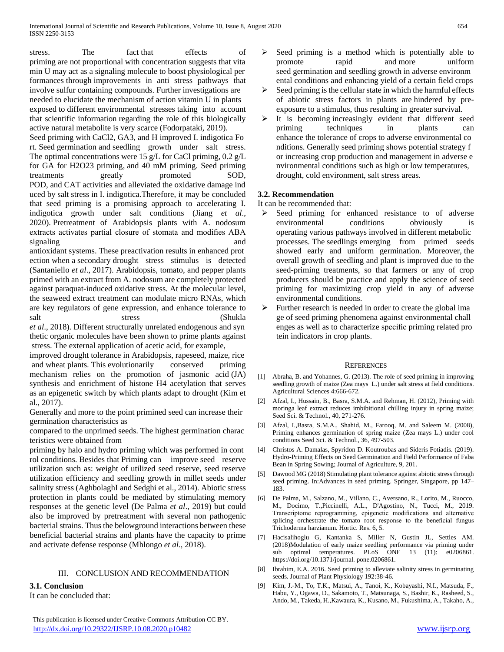stress. The fact that effects of priming are not proportional with concentration suggests that vita min U may act as a signaling molecule to boost physiological per formances through improvements in anti stress pathways that involve sulfur containing compounds. Further investigations are needed to elucidate the mechanism of action vitamin U in plants exposed to different environmental stresses taking into account that scientific information regarding the role of this biologically active natural metabolite is very scarce (Fodorpataki, 2019).

Seed priming with CaCl2, GA3, and H improved I. indigotica Fo rt. Seed germination and seedling growth under salt stress. The optimal concentrations were 15 g/L for CaCl priming,  $0.2$  g/L for GA for H2O23 priming, and 40 mM priming. Seed priming treatments greatly promoted SOD, POD, and CAT activities and alleviated the oxidative damage ind uced by salt stress in I. indigotica.Therefore, it may be concluded that seed priming is a promising approach to accelerating I. indigotica growth under salt conditions (Jiang *et al*., 2020). Pretreatment of Arabidopsis plants with A. nodosum extracts activates partial closure of stomata and modifies ABA signaling and

antioxidant systems. These preactivation results in enhanced prot ection when a secondary drought stress stimulus is detected (Santaniello *et al*., 2017). Arabidopsis, tomato, and pepper plants primed with an extract from A. nodosum are completely protected against paraquat-induced oxidative stress. At the molecular level, the seaweed extract treatment can modulate micro RNAs, which are key regulators of gene expression, and enhance tolerance to salt stress (Shukla

*et al*., 2018). Different structurally unrelated endogenous and syn thetic organic molecules have been shown to prime plants against stress. The external application of acetic acid, for example,

improved drought tolerance in Arabidopsis, rapeseed, maize, rice and wheat plants. This evolutionarily conserved priming mechanism relies on the promotion of jasmonic acid (JA) synthesis and enrichment of histone H4 acetylation that serves as an epigenetic switch by which plants adapt to drought (Kim et al., 2017).

Generally and more to the point primined seed can increase their germination characteristics as

compared to the unprimed seeds. The highest germination charac teristics were obtained from

priming by halo and hydro priming which was performed in cont rol conditions. Besides that Priming can improve seed reserve utilization such as: weight of utilized seed reserve, seed reserve utilization efficiency and seedling growth in millet seeds under salinity stress (AghbolaghI and Sedghi et al., 2014). Abiotic stress protection in plants could be mediated by stimulating memory responses at the genetic level (De Palma *et al*., 2019) but could also be improved by pretreatment with several non pathogenic bacterial strains. Thus the belowground interactions between these beneficial bacterial strains and plants have the capacity to prime and activate defense response (Mhlongo *et al.*, 2018).

## III. CONCLUSION AND RECOMMENDATION

## **3.1. Conclusion**

It can be concluded that:

- $\triangleright$  Seed priming is a method which is potentially able to promote rapid and more uniform seed germination and seedling growth in adverse environm ental conditions and enhancing yield of a certain field crops
- $\triangleright$  Seed priming is the cellular state in which the harmful effects of abiotic stress factors in plants are hindered by preexposure to a stimulus, thus resulting in greater survival.
- $\triangleright$  It is becoming increasingly evident that different seed priming techniques in plants can enhance the tolerance of crops to adverse environmental co nditions. Generally seed priming shows potential strategy f or increasing crop production and management in adverse e nvironmental conditions such as high or low temperatures, drought, cold environment, salt stress areas.

# **3.2. Recommendation**

It can be recommended that:

- $\triangleright$  Seed priming for enhanced resistance to of adverse environmental conditions obviously is operating various pathways involved in different metabolic processes. The seedlings emerging from primed seeds showed early and uniform germination. Moreover, the overall growth of seedling and plant is improved due to the seed-priming treatments, so that farmers or any of crop producers should be practice and apply the science of seed priming for maximizing crop yield in any of adverse environmental conditions.
- Further research is needed in order to create the global ima ge of seed priming phenomena against environmental chall enges as well as to characterize specific priming related pro tein indicators in crop plants.

## **REFERENCES**

- [1] Abraha, B. and Yohannes, G. (2013). The role of seed priming in improving seedling growth of maize (Zea mays L.) under salt stress at field conditions. Agricultural Sciences 4:666-672.
- [2] Afzal, I., Hussain, B., Basra, S.M.A. and Rehman, H. (2012), Priming with moringa leaf extract reduces imbibitional chilling injury in spring maize; Seed Sci. & Technol., 40, 271-276.
- [3] Afzal, I.,Basra, S.M.A., Shahid, M., Farooq, M. and Saleem M. (2008), Priming enhances germination of spring maize (Zea mays L.) under cool conditions Seed Sci. & Technol., 36, 497-503.
- [4] Christos A. Damalas, Spyridon D. Koutroubas and Sideris Fotiadis. (2019). Hydro-Priming Effects on Seed Germination and Field Performance of Faba Bean in Spring Sowing; Journal of Agriculture, 9, 201.
- [5] Dawood MG (2018) Stimulating plant tolerance against abiotic stress through seed priming. In:Advances in seed priming. Springer, Singapore, pp 147– 183.
- [6] De Palma, M., Salzano, M., Villano, C., Aversano, R., Lorito, M., Ruocco, M., Docimo, T.,Piccinelli, A.L., D'Agostino, N., Tucci, M., 2019. Transcriptome reprogramming, epigenetic modifications and alternative splicing orchestrate the tomato root response to the beneficial fungus Trichoderma harzianum. Hortic. Res. 6, 5.
- [7] Hacisalihoglu G, Kantanka S, Miller N, Gustin JL, Settles AM. (2018)Modulation of early maize seedling performance via priming under sub optimal temperatures. PLoS ONE 13 (11): e0206861. https://doi.org/10.1371/journal. pone.0206861.
- [8] Ibrahim, E.A. 2016. Seed priming to alleviate salinity stress in germinating seeds. Journal of Plant Physiology 192:38-46.
- [9] Kim, J.-M., To, T.K., Matsui, A., Tanoi, K., Kobayashi, N.I., Matsuda, F., Habu, Y., Ogawa, D., Sakamoto, T., Matsunaga, S., Bashir, K., Rasheed, S., Ando, M., Takeda, H.,Kawaura, K., Kusano, M., Fukushima, A., Takaho, A.,